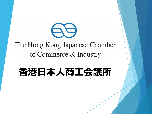

# The Hong Kong Japanese Chamber of Commerce & Industry

# **香港日本人商工会議所**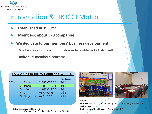

# Introduction & HKJCCI Motto

- **Established in 1969~**
- **Members: about 570 companies**
- **We dedicate to our members' business development!**

We tackle not only with industry-wide problems but also with individual member's concerns.

| Companies in HK by Countries $= 9,049$ |  |  |
|----------------------------------------|--|--|
|                                        |  |  |

|      |             |                                           | (vs. 2020)       |
|------|-------------|-------------------------------------------|------------------|
| 2021 | 1 China     | $2,080 \times 23.0\%$ (94 1)              |                  |
|      | 2 Japan     | $1,388 \diagup 15.3\%$ (10 $\downarrow$ ) |                  |
|      | 3 USA       | $1,267/14.0\%$ (16 $\downarrow$ )         |                  |
|      | 4 UK        | 667/7.4%                                  | $(2 \downarrow)$ |
|      | 5 Singapore | 449/5.0%                                  | $(4 \downarrow)$ |

1,457 sets regional HQ in HK (Source:28th Oct. 2021 HK Census and Statistics)





Photo: **Left**: EcoExpo 2021. Introduced Japanese Eco-Friendly products and technologies. **Right**: International Business Committee (IBC)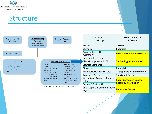

## **Structure**

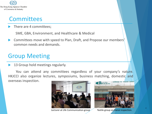

## **Committees**

There are 4 committees;

SME, GBA, Environment, and Healthcare & Medical

 Committees move with speed to Plan, Draft, and Propose our members' common needs and demands.

## Group Meeting

13 Group hold meetings regularly.

You can attend any committees regardless of your company's nature. HKJCCI also organize lectures, symposiums, business matching, domestic and overseas inspection. **CÔNG TY TNHH ĐINH** 



Lecturer at Life Communication group Textile group on Hanoi inspection.

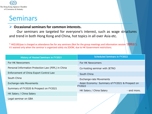

# Seminars

## ➢ **Occasional seminars for common interests.**

Our seminars are targeted for everyone's interest, such as wage structures and trend in both Hong Kong and China, hot topics in all over Asia etc.

\* HK\$100/pax is charged as attendance fee for any seminars (Not for the group meetings and information session "説明会"). It's waived only when the seminar is organized solely via ZOOM, due to HK Government restrictions.

| <b>History of Hosted Seminars in FY2021</b>         | <b>Scheduled Seminars in FY2022</b>                             |  |  |
|-----------------------------------------------------|-----------------------------------------------------------------|--|--|
| For HK Newcomers                                    | For HK Newcomers                                                |  |  |
| Personal Information Protection Law (PIPL) in China | Co-hosting seminar with JETRO                                   |  |  |
| Enforcement of China Export Control Law             | South China                                                     |  |  |
| South China                                         | <b>Exchange-rate Movements</b>                                  |  |  |
| <b>Exchange-rate Movements</b>                      | Asian Economy: Summary of FY2021 & Prospect on<br><b>FY2022</b> |  |  |
| Summary of FY2020 & Prospect on FY2021              | HK Salary / China Salary<br>$\cdots$ and more.                  |  |  |
| HK Salary / China Salary                            |                                                                 |  |  |
| Legal seminar on GBA                                |                                                                 |  |  |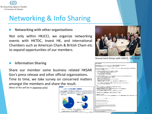

# Networking & Info Sharing

## **Networking with other organizations**

Not only within HKJCCI, we organize networking events with HKTDC, Invest HK, and international Chambers such as American Cham & British Cham etc. to expand opportunities of our members.

### **Information Sharing**

Share our member some business related HKSAR Gov's press release and other official organizations. Time to time, we take survey on concerned matters amongst the members and share the result.

(Most of this will be in Japanese only)





#### Annual Joint Dinner with HKGCC, Oct, 2018

#### 代表者 代理者各位

。<br>F港政府新開癌(Information Services Department)からの、提題に関する最新情報のまとめを転送します。 

irus (Covid-19) update - Feb 14|タイトルのメール内容について、各リンクがヘー部抜粋して簡単に日本語のまとめ(抜粋)を書きます。 E式には英文で内容を再確思してCださい。

3名の感染者(全て香港居民)が追加。(2月13日午後8時現在、合計症例53人) 1) No.51: 43歳男性、持病なし、連航歴なし、在毛門(Tsz Tin Tsuen)。 CTuan Mun Hosnital [1] 股) 实定した状態 No.47(66歳男性)の親族で、同じ食事会に出席。

以下の2症例は、既に報告済みNo.46、No.48、No.49の3名と北角のStar Seafood Restaurantにて1月26日に会会した人たち。 2) No.52: 67才女性(No.46の範理の妹)、持病なし、渡航歴なし。 平日は在Quarry Bay(Mount Parker Lodge) 遇末はNo.53の息子と在湾仔(Heung Hoi Mar on 28-32 O'Brien Road) Ruttoniee Hospitalに入院し、安定した状態。

3) No.53: 37歳男性(No.52の息子)持病なし、渡航歴なし、在海仔(Heung Hoi Mansion on 28-32 O'Brien Road), Ruttoniee Hospitalに入院し、安定した状態、

。<br>・以下のリンクをご覧になると、どこで患者が出たか全てを地図でご覧にいただけます。 https://chp-dashboard.geodata.gov.hk/nia/en.html<br>・薬本情報合め、感染者が住んでいたビル、連結歴がある場合は使用したフライトなどの詳細を含むHP https://www.chp.gov.hk/en/features/102465.html ・コロナウィル スに関しての専用ホットライン: 2125 1122、対応時間: 8:00~24:00(月~日

政府数育局は全学校の休校期間を延期して、再開を3月16日以降とすることを発表

金融業界の中小企業支援: The Hong Kong Monetary Authority(HKMA)は、中小企業が直面するキャッシュフロー問題の軽減を目的に、銀行への働きがけを行っている

ent: Friday, February 14, 2020 9:22 AM ubject: Coronavirus (Covid-19) update - Feb 14

ing All - Happy Valentine's Day

investigates three additional cases of novel con ttps://www.info.gov.hk/gia/general/202002/13/P2020021300700.htm Total now 53